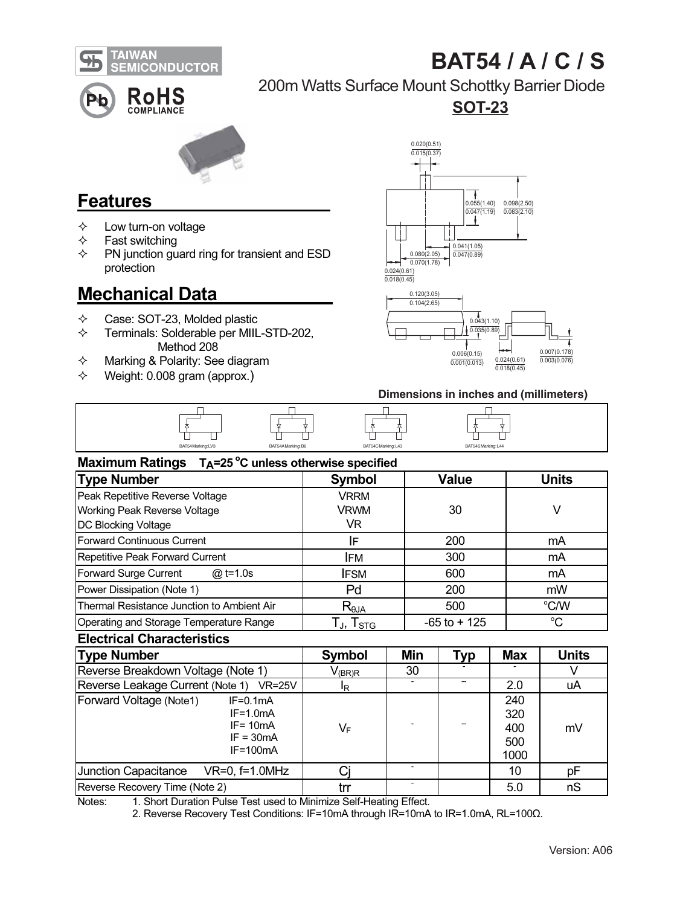

# BAT54 / A / C / S



### 200m Watts Surface Mount Schottky Barrier Diode

SOT-23



### Features

- $\Leftrightarrow$  Low turn-on voltage<br>  $\Leftrightarrow$  Fast switching
- $\Leftrightarrow$  Fast switching<br>  $\Leftrightarrow$  PN iunction qu
- PN junction guard ring for transient and ESD protection

## Mechanical Data

- $\diamond$  Case: SOT-23, Molded plastic<br>  $\diamond$  Terminals: Solderable per MIII
- Terminals: Solderable per MIIL-STD-202, Method 208
- $\Diamond$  Marking & Polarity: See diagram
- $\diamond$  Weight: 0.008 gram (approx.)





#### Dimensions in inches and (millimeters)

| ╌ | ╌                 | 一<br>_            | 一                   | 一                  |
|---|-------------------|-------------------|---------------------|--------------------|
|   | BAT54Marking: LV3 | BAT54AMarking: B6 | BAT54C Marking: L43 | BAT54SMarking: L44 |

| Maximum Ratings $T_A = 25^\circ \text{C}$ unless otherwise specified |                                                        |                 |              |  |  |  |  |  |
|----------------------------------------------------------------------|--------------------------------------------------------|-----------------|--------------|--|--|--|--|--|
| <b>Type Number</b>                                                   | Symbol                                                 | Value           | <b>Units</b> |  |  |  |  |  |
| Peak Repetitive Reverse Voltage                                      | <b>VRRM</b>                                            |                 |              |  |  |  |  |  |
| Working Peak Reverse Voltage                                         | VRWM                                                   | 30              | V            |  |  |  |  |  |
| <b>DC Blocking Voltage</b>                                           | VR.                                                    |                 |              |  |  |  |  |  |
| Forward Continuous Current                                           | IF                                                     | 200             | mA           |  |  |  |  |  |
| Repetitive Peak Forward Current                                      | <b>IFM</b>                                             | 300             | mA           |  |  |  |  |  |
| Forward Surge Current<br>$@:1 = 1.0s$                                | <b>IFSM</b>                                            | 600             | mA           |  |  |  |  |  |
| Power Dissipation (Note 1)                                           | Pd                                                     | 200             | mW           |  |  |  |  |  |
| Thermal Resistance Junction to Ambient Air                           | $R_{\theta$ ja                                         | 500             | °C/W         |  |  |  |  |  |
| Operating and Storage Temperature Range                              | $\mathsf{L}_{\mathsf{J}},\, \mathsf{T}_{\mathsf{STG}}$ | $-65$ to $+125$ | °C           |  |  |  |  |  |

#### **Electrical Characteristics**

| <b>Type Number</b><br>Reverse Breakdown Voltage (Note 1)<br>Reverse Leakage Current (Note 1)<br>$VR = 25V$ |  | Symbol<br>$\mathsf{V}_{(\mathsf{BR})\mathsf{R}}$<br>IR. | Min<br>30 | Typ | <b>Max</b><br>2.0 | <b>Units</b><br>uA |                         |                                                                      |    |  |  |                                  |    |
|------------------------------------------------------------------------------------------------------------|--|---------------------------------------------------------|-----------|-----|-------------------|--------------------|-------------------------|----------------------------------------------------------------------|----|--|--|----------------------------------|----|
|                                                                                                            |  |                                                         |           |     |                   |                    | Forward Voltage (Note1) | $IF=0.1mA$<br>$IF=1.0mA$<br>$IF = 10mA$<br>$IF = 30mA$<br>$IF=100mA$ | V⊧ |  |  | 240<br>320<br>400<br>500<br>1000 | mV |
|                                                                                                            |  |                                                         |           |     |                   |                    | Junction Capacitance    | $VR=0$ , $f=1.0MHz$                                                  |    |  |  | 10                               | рF |
| Reverse Recovery Time (Note 2)                                                                             |  | trr                                                     |           |     | 5.0               | nS                 |                         |                                                                      |    |  |  |                                  |    |

Notes: 1. Short Duration Pulse Test used to Minimize Self-Heating Effect.

2. Reverse Recovery Test Conditions: IF=10mA through IR=10mA to IR=1.0mA, RL=100Ω.